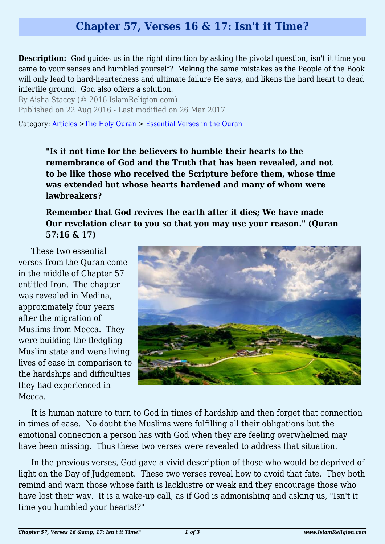## **Chapter 57, Verses 16 & 17: Isn't it Time?**

**Description:** God guides us in the right direction by asking the pivotal question, isn't it time you came to your senses and humbled yourself? Making the same mistakes as the People of the Book will only lead to hard-heartedness and ultimate failure He says, and likens the hard heart to dead infertile ground. God also offers a solution.

By Aisha Stacey (© 2016 IslamReligion.com) Published on 22 Aug 2016 - Last modified on 26 Mar 2017

Category: [Articles](http://www.islamreligion.com/articles/) >[The Holy Quran](http://www.islamreligion.com/category/75/) > [Essential Verses in the Quran](http://www.islamreligion.com/category/1129/)

**"Is it not time for the believers to humble their hearts to the remembrance of God and the Truth that has been revealed, and not to be like those who received the Scripture before them, whose time was extended but whose hearts hardened and many of whom were lawbreakers?**

**Remember that God revives the earth after it dies; We have made Our revelation clear to you so that you may use your reason." (Quran 57:16 & 17)**

These two essential verses from the Quran come in the middle of Chapter 57 entitled Iron. The chapter was revealed in Medina, approximately four years after the migration of Muslims from Mecca. They were building the fledgling Muslim state and were living lives of ease in comparison to the hardships and difficulties they had experienced in Mecca.



It is human nature to turn to God in times of hardship and then forget that connection in times of ease. No doubt the Muslims were fulfilling all their obligations but the emotional connection a person has with God when they are feeling overwhelmed may have been missing. Thus these two verses were revealed to address that situation.

In the previous verses, God gave a vivid description of those who would be deprived of light on the Day of Judgement. These two verses reveal how to avoid that fate. They both remind and warn those whose faith is lacklustre or weak and they encourage those who have lost their way. It is a wake-up call, as if God is admonishing and asking us, "Isn't it time you humbled your hearts!?"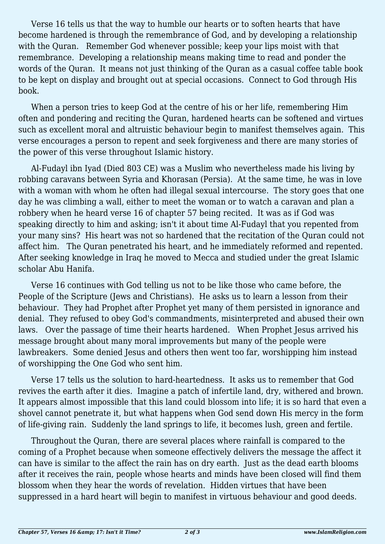Verse 16 tells us that the way to humble our hearts or to soften hearts that have become hardened is through the remembrance of God, and by developing a relationship with the Quran. Remember God whenever possible; keep your lips moist with that remembrance. Developing a relationship means making time to read and ponder the words of the Quran. It means not just thinking of the Quran as a casual coffee table book to be kept on display and brought out at special occasions. Connect to God through His book.

When a person tries to keep God at the centre of his or her life, remembering Him often and pondering and reciting the Quran, hardened hearts can be softened and virtues such as excellent moral and altruistic behaviour begin to manifest themselves again. This verse encourages a person to repent and seek forgiveness and there are many stories of the power of this verse throughout Islamic history.

Al-Fudayl ibn Iyad (Died 803 CE) was a Muslim who nevertheless made his living by robbing caravans between Syria and Khorasan (Persia). At the same time, he was in love with a woman with whom he often had illegal sexual intercourse. The story goes that one day he was climbing a wall, either to meet the woman or to watch a caravan and plan a robbery when he heard verse 16 of chapter 57 being recited. It was as if God was speaking directly to him and asking; isn't it about time Al-Fudayl that you repented from your many sins? His heart was not so hardened that the recitation of the Quran could not affect him. The Quran penetrated his heart, and he immediately reformed and repented. After seeking knowledge in Iraq he moved to Mecca and studied under the great Islamic scholar Abu Hanifa.

Verse 16 continues with God telling us not to be like those who came before, the People of the Scripture (Jews and Christians). He asks us to learn a lesson from their behaviour. They had Prophet after Prophet yet many of them persisted in ignorance and denial. They refused to obey God's commandments, misinterpreted and abused their own laws. Over the passage of time their hearts hardened. When Prophet Jesus arrived his message brought about many moral improvements but many of the people were lawbreakers. Some denied Jesus and others then went too far, worshipping him instead of worshipping the One God who sent him.

Verse 17 tells us the solution to hard-heartedness. It asks us to remember that God revives the earth after it dies. Imagine a patch of infertile land, dry, withered and brown. It appears almost impossible that this land could blossom into life; it is so hard that even a shovel cannot penetrate it, but what happens when God send down His mercy in the form of life-giving rain. Suddenly the land springs to life, it becomes lush, green and fertile.

Throughout the Quran, there are several places where rainfall is compared to the coming of a Prophet because when someone effectively delivers the message the affect it can have is similar to the affect the rain has on dry earth. Just as the dead earth blooms after it receives the rain, people whose hearts and minds have been closed will find them blossom when they hear the words of revelation. Hidden virtues that have been suppressed in a hard heart will begin to manifest in virtuous behaviour and good deeds.